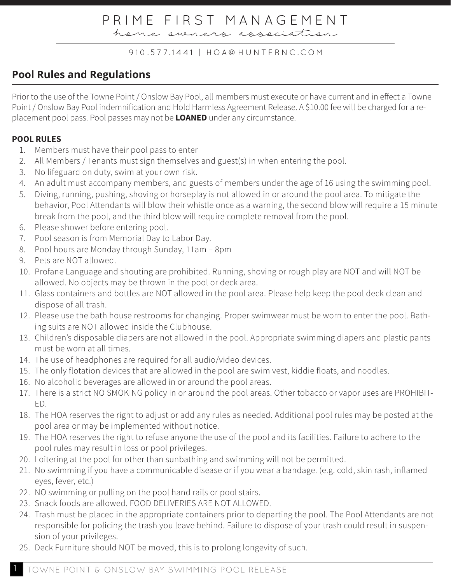heme eveners asseciation

#### 910.577.1441 | HOA@HUNTERNC.COM

## **Pool Rules and Regulations**

Prior to the use of the Towne Point / Onslow Bay Pool, all members must execute or have current and in effect a Towne Point / Onslow Bay Pool indemnification and Hold Harmless Agreement Release. A \$10.00 fee will be charged for a replacement pool pass. Pool passes may not be **LOANED** under any circumstance.

### **POOL RULES**

- 1. Members must have their pool pass to enter
- 2. All Members / Tenants must sign themselves and guest(s) in when entering the pool.
- 3. No lifeguard on duty, swim at your own risk.
- 4. An adult must accompany members, and guests of members under the age of 16 using the swimming pool.
- 5. Diving, running, pushing, shoving or horseplay is not allowed in or around the pool area. To mitigate the behavior, Pool Attendants will blow their whistle once as a warning, the second blow will require a 15 minute break from the pool, and the third blow will require complete removal from the pool.
- 6. Please shower before entering pool.
- 7. Pool season is from Memorial Day to Labor Day.
- 8. Pool hours are Monday through Sunday, 11am 8pm
- 9. Pets are NOT allowed.
- 10. Profane Language and shouting are prohibited. Running, shoving or rough play are NOT and will NOT be allowed. No objects may be thrown in the pool or deck area.
- 11. Glass containers and bottles are NOT allowed in the pool area. Please help keep the pool deck clean and dispose of all trash.
- 12. Please use the bath house restrooms for changing. Proper swimwear must be worn to enter the pool. Bathing suits are NOT allowed inside the Clubhouse.
- 13. Children's disposable diapers are not allowed in the pool. Appropriate swimming diapers and plastic pants must be worn at all times.
- 14. The use of headphones are required for all audio/video devices.
- 15. The only flotation devices that are allowed in the pool are swim vest, kiddie floats, and noodles.
- 16. No alcoholic beverages are allowed in or around the pool areas.
- 17. There is a strict NO SMOKING policy in or around the pool areas. Other tobacco or vapor uses are PROHIBIT-ED.
- 18. The HOA reserves the right to adjust or add any rules as needed. Additional pool rules may be posted at the pool area or may be implemented without notice.
- 19. The HOA reserves the right to refuse anyone the use of the pool and its facilities. Failure to adhere to the pool rules may result in loss or pool privileges.
- 20. Loitering at the pool for other than sunbathing and swimming will not be permitted.
- 21. No swimming if you have a communicable disease or if you wear a bandage. (e.g. cold, skin rash, inflamed eyes, fever, etc.)
- 22. NO swimming or pulling on the pool hand rails or pool stairs.
- 23. Snack foods are allowed. FOOD DELIVERIES ARE NOT ALLOWED.
- 24. Trash must be placed in the appropriate containers prior to departing the pool. The Pool Attendants are not responsible for policing the trash you leave behind. Failure to dispose of your trash could result in suspension of your privileges.
- 25. Deck Furniture should NOT be moved, this is to prolong longevity of such.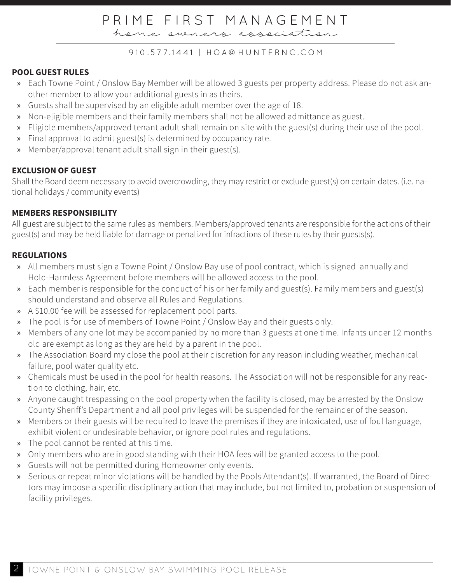heme eveners asseciation

#### 910.577.1441 | HOA@HUNTERNC.COM

#### **POOL GUEST RULES**

- » Each Towne Point / Onslow Bay Member will be allowed 3 guests per property address. Please do not ask another member to allow your additional guests in as theirs.
- » Guests shall be supervised by an eligible adult member over the age of 18.
- » Non-eligible members and their family members shall not be allowed admittance as guest.
- » Eligible members/approved tenant adult shall remain on site with the guest(s) during their use of the pool.
- » Final approval to admit guest(s) is determined by occupancy rate.
- » Member/approval tenant adult shall sign in their guest(s).

### **EXCLUSION OF GUEST**

Shall the Board deem necessary to avoid overcrowding, they may restrict or exclude guest(s) on certain dates. (i.e. national holidays / community events)

#### **MEMBERS RESPONSIBILITY**

All guest are subject to the same rules as members. Members/approved tenants are responsible for the actions of their guest(s) and may be held liable for damage or penalized for infractions of these rules by their guests(s).

### **REGULATIONS**

- » All members must sign a Towne Point / Onslow Bay use of pool contract, which is signed annually and Hold-Harmless Agreement before members will be allowed access to the pool.
- » Each member is responsible for the conduct of his or her family and guest(s). Family members and guest(s) should understand and observe all Rules and Regulations.
- » A \$10.00 fee will be assessed for replacement pool parts.
- » The pool is for use of members of Towne Point / Onslow Bay and their guests only.
- » Members of any one lot may be accompanied by no more than 3 guests at one time. Infants under 12 months old are exempt as long as they are held by a parent in the pool.
- » The Association Board my close the pool at their discretion for any reason including weather, mechanical failure, pool water quality etc.
- » Chemicals must be used in the pool for health reasons. The Association will not be responsible for any reaction to clothing, hair, etc.
- » Anyone caught trespassing on the pool property when the facility is closed, may be arrested by the Onslow County Sheriff's Department and all pool privileges will be suspended for the remainder of the season.
- » Members or their guests will be required to leave the premises if they are intoxicated, use of foul language, exhibit violent or undesirable behavior, or ignore pool rules and regulations.
- » The pool cannot be rented at this time.
- » Only members who are in good standing with their HOA fees will be granted access to the pool.
- » Guests will not be permitted during Homeowner only events.
- » Serious or repeat minor violations will be handled by the Pools Attendant(s). If warranted, the Board of Directors may impose a specific disciplinary action that may include, but not limited to, probation or suspension of facility privileges.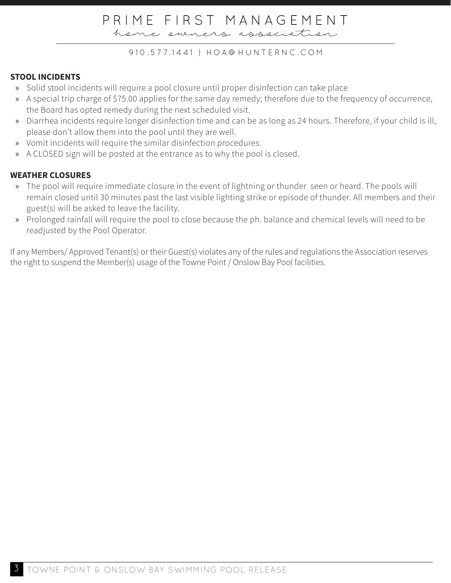heme eveners association

#### 910.577.1441 | HOA@HUNTERNC.COM

### **STOOL INCIDENTS**

- » Solid stool incidents will require a pool closure until proper disinfection can take place
- » A special trip charge of \$75.00 applies for the same day remedy; therefore due to the frequency of occurrence, the Board has opted remedy during the next scheduled visit.
- » Diarrhea incidents require longer disinfection time and can be as long as 24 hours. Therefore, if your child is ill, please don't allow them into the pool until they are well.
- » Vomit incidents will require the similar disinfection procedures.
- » A CLOSED sign will be posted at the entrance as to why the pool is closed.

### **WEATHER CLOSURES**

- » The pool will require immediate closure in the event of lightning or thunder seen or heard. The pools will remain closed until 30 minutes past the last visible lighting strike or episode of thunder. All members and their guest(s) will be asked to leave the facility.
- » Prolonged rainfall will require the pool to close because the ph. balance and chemical levels will need to be readjusted by the Pool Operator.

If any Members/ Approved Tenant(s) or their Guest(s) violates any of the rules and regulations the Association reserves the right to suspend the Member(s) usage of the Towne Point / Onslow Bay Pool facilities.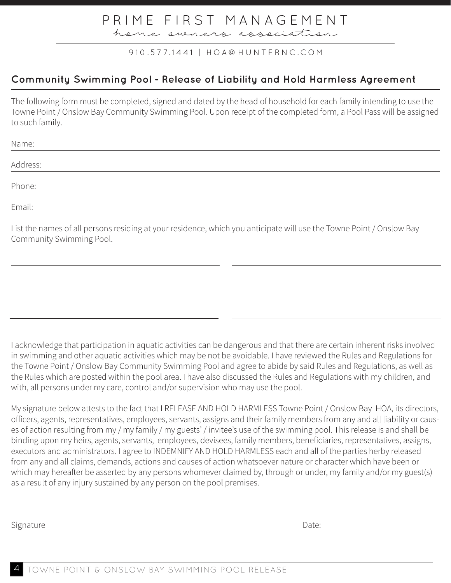heme eveners asseciation

### 910.577.1441 | HOA@HUNTERNC.COM

## **Community Swimming Pool - Release of Liability and Hold Harmless Agreement**

The following form must be completed, signed and dated by the head of household for each family intending to use the Towne Point / Onslow Bay Community Swimming Pool. Upon receipt of the completed form, a Pool Pass will be assigned to such family.

| Name:    |  |  |
|----------|--|--|
| Address: |  |  |
|          |  |  |
| Phone:   |  |  |
| Email:   |  |  |
|          |  |  |

List the names of all persons residing at your residence, which you anticipate will use the Towne Point / Onslow Bay Community Swimming Pool.

I acknowledge that participation in aquatic activities can be dangerous and that there are certain inherent risks involved in swimming and other aquatic activities which may be not be avoidable. I have reviewed the Rules and Regulations for the Towne Point / Onslow Bay Community Swimming Pool and agree to abide by said Rules and Regulations, as well as the Rules which are posted within the pool area. I have also discussed the Rules and Regulations with my children, and with, all persons under my care, control and/or supervision who may use the pool.

My signature below attests to the fact that I RELEASE AND HOLD HARMLESS Towne Point / Onslow Bay HOA, its directors, officers, agents, representatives, employees, servants, assigns and their family members from any and all liability or causes of action resulting from my / my family / my guests' / invitee's use of the swimming pool. This release is and shall be binding upon my heirs, agents, servants, employees, devisees, family members, beneficiaries, representatives, assigns, executors and administrators. I agree to INDEMNIFY AND HOLD HARMLESS each and all of the parties herby released from any and all claims, demands, actions and causes of action whatsoever nature or character which have been or which may hereafter be asserted by any persons whomever claimed by, through or under, my family and/or my guest(s) as a result of any injury sustained by any person on the pool premises.

Signature Date: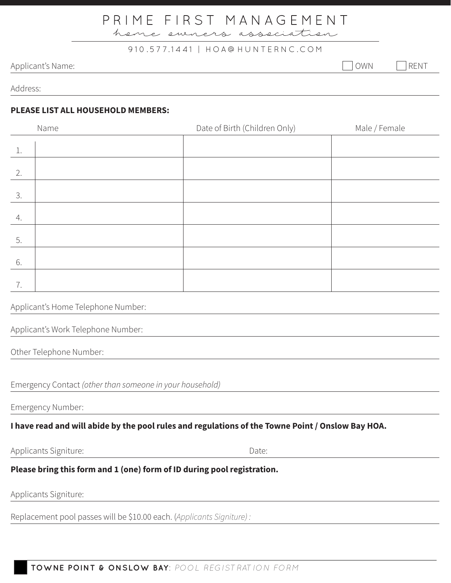heme eveners asseciation

#### 910.577.1441 | HOA@HUNTERNC.COM

### Applicant's Name: OWN RENT

Address:

#### **PLEASE LIST ALL HOUSEHOLD MEMBERS:**

|    | Name | Date of Birth (Children Only) | Male / Female |
|----|------|-------------------------------|---------------|
| 1. |      |                               |               |
| 2. |      |                               |               |
| 3. |      |                               |               |
| 4. |      |                               |               |
| 5. |      |                               |               |
| 6. |      |                               |               |
| 7. |      |                               |               |

#### Applicant's Home Telephone Number:

| Applicant's Work Telephone Number: |  |  |
|------------------------------------|--|--|
|                                    |  |  |

Other Telephone Number:

Emergency Contact *(other than someone in your household)* 

Emergency Number:

### **I have read and will abide by the pool rules and regulations of the Towne Point / Onslow Bay HOA.**

Applicants Signiture: Date:

## **Please bring this form and 1 (one) form of ID during pool registration.**

Applicants Signiture:

Replacement pool passes will be \$10.00 each. (*Applicants Signiture) :*